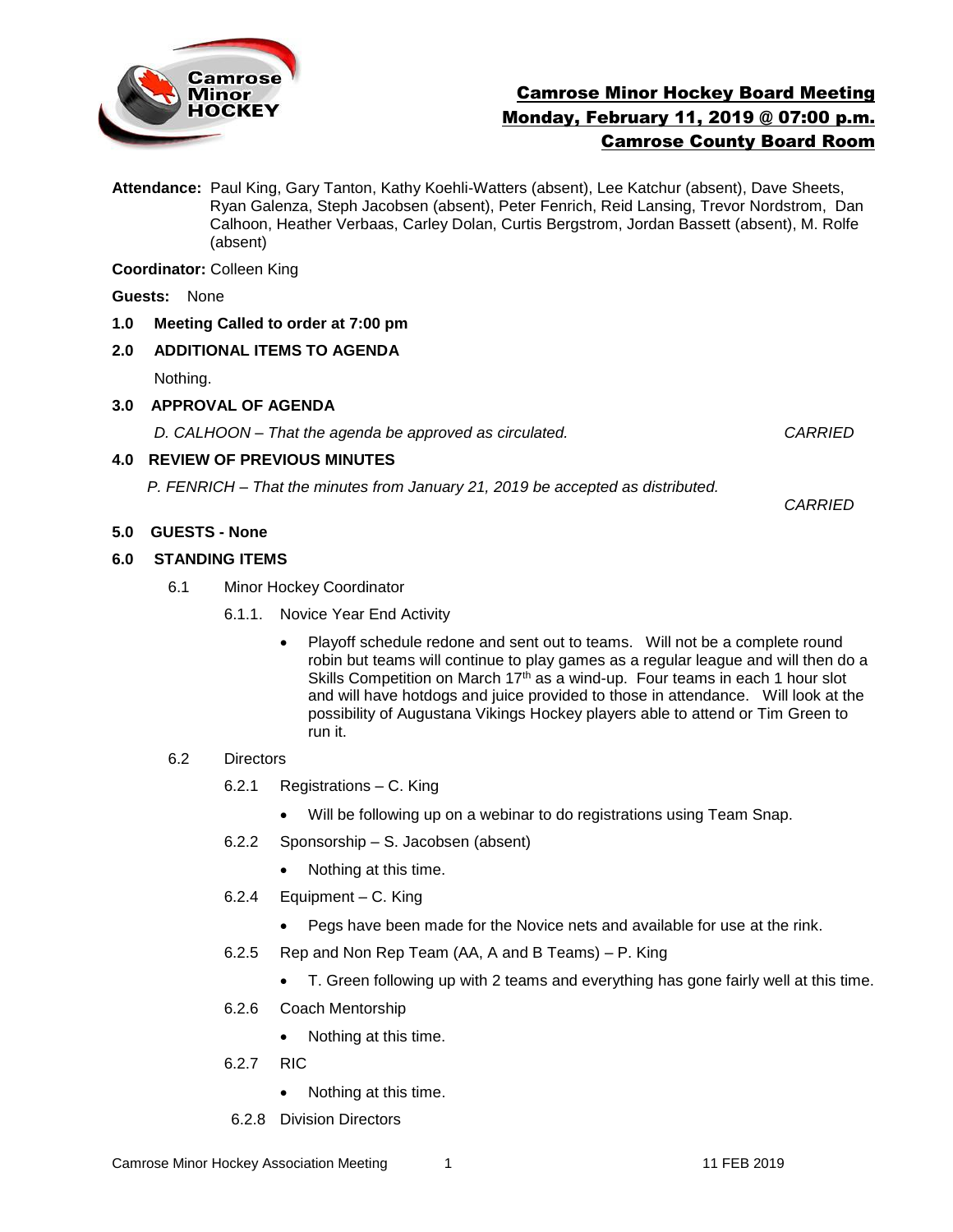

# Camrose Minor Hockey Board Meeting Monday, February 11, 2019 @ 07:00 p.m. Camrose County Board Room

**Attendance:** Paul King, Gary Tanton, Kathy Koehli-Watters (absent), Lee Katchur (absent), Dave Sheets, Ryan Galenza, Steph Jacobsen (absent), Peter Fenrich, Reid Lansing, Trevor Nordstrom, Dan Calhoon, Heather Verbaas, Carley Dolan, Curtis Bergstrom, Jordan Bassett (absent), M. Rolfe (absent)

**Coordinator:** Colleen King

**Guests:** None

**1.0 Meeting Called to order at 7:00 pm**

## **2.0 ADDITIONAL ITEMS TO AGENDA**

Nothing.

## **3.0 APPROVAL OF AGENDA**

*D. CALHOON – That the agenda be approved as circulated. CARRIED*

## **4.0 REVIEW OF PREVIOUS MINUTES**

*P. FENRICH – That the minutes from January 21, 2019 be accepted as distributed.* 

*CARRIED*

# **5.0 GUESTS - None**

#### **6.0 STANDING ITEMS**

- 6.1Minor Hockey Coordinator
	- 6.1.1. Novice Year End Activity
		- Playoff schedule redone and sent out to teams. Will not be a complete round robin but teams will continue to play games as a regular league and will then do a Skills Competition on March 17<sup>th</sup> as a wind-up. Four teams in each 1 hour slot and will have hotdogs and juice provided to those in attendance. Will look at the possibility of Augustana Vikings Hockey players able to attend or Tim Green to run it.

#### 6.2 Directors

- 6.2.1 Registrations C. King
	- Will be following up on a webinar to do registrations using Team Snap.
- 6.2.2 Sponsorship S. Jacobsen (absent)
	- Nothing at this time.
- 6.2.4 Equipment C. King
	- Pegs have been made for the Novice nets and available for use at the rink.
- 6.2.5 Rep and Non Rep Team (AA, A and B Teams) P. King
	- T. Green following up with 2 teams and everything has gone fairly well at this time.
- 6.2.6 Coach Mentorship
	- Nothing at this time.
- 6.2.7 RIC
	- Nothing at this time.
- 6.2.8 Division Directors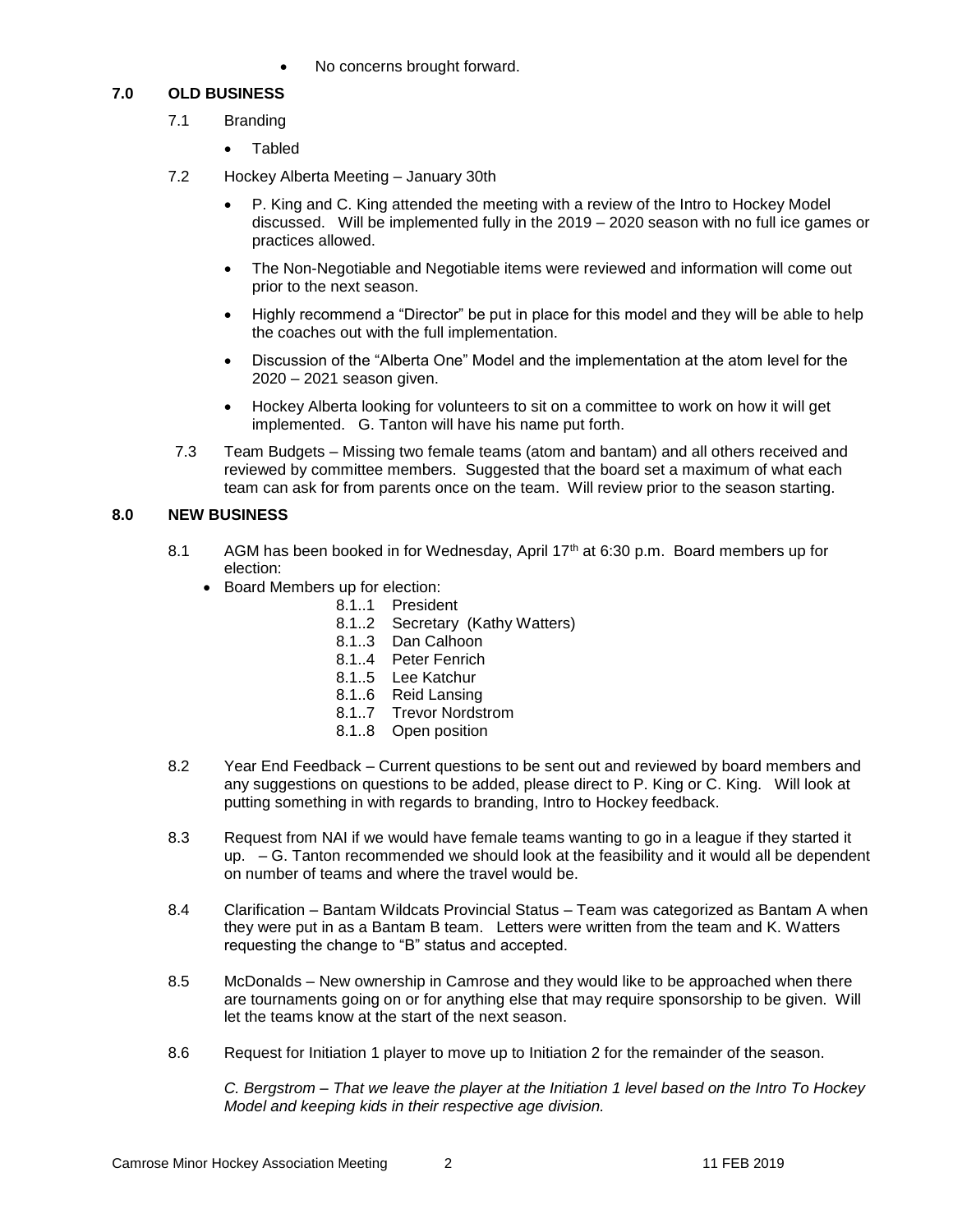No concerns brought forward.

## **7.0 OLD BUSINESS**

- 7.1 Branding
	- Tabled
- 7.2 Hockey Alberta Meeting January 30th
	- P. King and C. King attended the meeting with a review of the Intro to Hockey Model discussed. Will be implemented fully in the 2019 – 2020 season with no full ice games or practices allowed.
	- The Non-Negotiable and Negotiable items were reviewed and information will come out prior to the next season.
	- Highly recommend a "Director" be put in place for this model and they will be able to help the coaches out with the full implementation.
	- Discussion of the "Alberta One" Model and the implementation at the atom level for the 2020 – 2021 season given.
	- Hockey Alberta looking for volunteers to sit on a committee to work on how it will get implemented. G. Tanton will have his name put forth.
- 7.3 Team Budgets Missing two female teams (atom and bantam) and all others received and reviewed by committee members. Suggested that the board set a maximum of what each team can ask for from parents once on the team. Will review prior to the season starting.

## **8.0 NEW BUSINESS**

- 8.1 AGM has been booked in for Wednesday, April 17<sup>th</sup> at 6:30 p.m. Board members up for election:
	- Board Members up for election:
		- 8.1..1 President
			- 8.1..2 Secretary (Kathy Watters)
			- 8.1..3 Dan Calhoon
			- 8.1..4 Peter Fenrich
			- 8.1..5 Lee Katchur
			- 8.1..6 Reid Lansing
			- 8.1..7 Trevor Nordstrom
			- 8.1..8 Open position
- 8.2 Year End Feedback Current questions to be sent out and reviewed by board members and any suggestions on questions to be added, please direct to P. King or C. King. Will look at putting something in with regards to branding, Intro to Hockey feedback.
- 8.3 Request from NAI if we would have female teams wanting to go in a league if they started it up. – G. Tanton recommended we should look at the feasibility and it would all be dependent on number of teams and where the travel would be.
- 8.4 Clarification Bantam Wildcats Provincial Status Team was categorized as Bantam A when they were put in as a Bantam B team. Letters were written from the team and K. Watters requesting the change to "B" status and accepted.
- 8.5 McDonalds New ownership in Camrose and they would like to be approached when there are tournaments going on or for anything else that may require sponsorship to be given. Will let the teams know at the start of the next season.
- 8.6 Request for Initiation 1 player to move up to Initiation 2 for the remainder of the season.

*C. Bergstrom – That we leave the player at the Initiation 1 level based on the Intro To Hockey Model and keeping kids in their respective age division.*